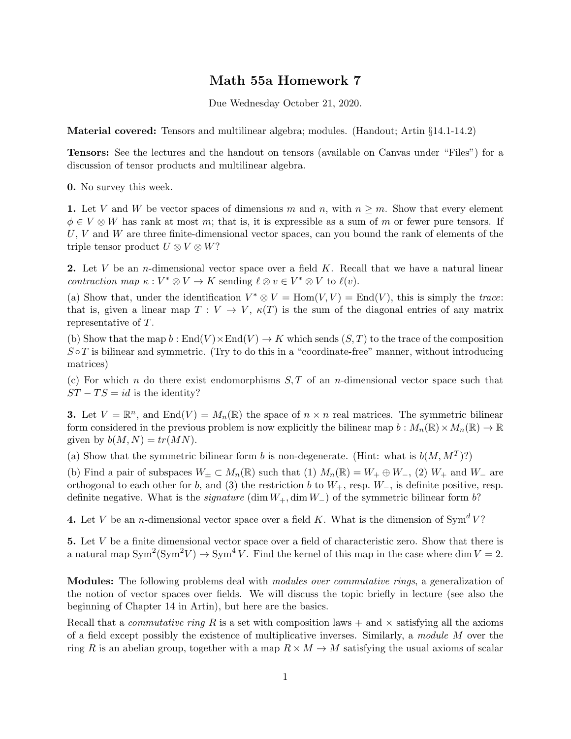## Math 55a Homework 7

Due Wednesday October 21, 2020.

Material covered: Tensors and multilinear algebra; modules. (Handout; Artin §14.1-14.2)

Tensors: See the lectures and the handout on tensors (available on Canvas under "Files") for a discussion of tensor products and multilinear algebra.

0. No survey this week.

1. Let V and W be vector spaces of dimensions m and n, with  $n \geq m$ . Show that every element  $\phi \in V \otimes W$  has rank at most m; that is, it is expressible as a sum of m or fewer pure tensors. If  $U, V$  and W are three finite-dimensional vector spaces, can you bound the rank of elements of the triple tensor product  $U \otimes V \otimes W$ ?

2. Let V be an *n*-dimensional vector space over a field K. Recall that we have a natural linear contraction map  $\kappa : V^* \otimes V \to K$  sending  $\ell \otimes v \in V^* \otimes V$  to  $\ell(v)$ .

(a) Show that, under the identification  $V^* \otimes V = \text{Hom}(V, V) = \text{End}(V)$ , this is simply the trace: that is, given a linear map  $T: V \to V$ ,  $\kappa(T)$  is the sum of the diagonal entries of any matrix representative of T.

(b) Show that the map  $b : \text{End}(V) \times \text{End}(V) \to K$  which sends  $(S, T)$  to the trace of the composition  $S \circ T$  is bilinear and symmetric. (Try to do this in a "coordinate-free" manner, without introducing matrices)

(c) For which n do there exist endomorphisms  $S, T$  of an n-dimensional vector space such that  $ST - TS = id$  is the identity?

**3.** Let  $V = \mathbb{R}^n$ , and  $\text{End}(V) = M_n(\mathbb{R})$  the space of  $n \times n$  real matrices. The symmetric bilinear form considered in the previous problem is now explicitly the bilinear map  $b: M_n(\mathbb{R}) \times M_n(\mathbb{R}) \to \mathbb{R}$ given by  $b(M, N) = tr(MN)$ .

(a) Show that the symmetric bilinear form b is non-degenerate. (Hint: what is  $b(M, M^T)$ ?)

(b) Find a pair of subspaces  $W_{\pm} \subset M_n(\mathbb{R})$  such that (1)  $M_n(\mathbb{R}) = W_+ \oplus W_-,$  (2)  $W_+$  and  $W_-$  are orthogonal to each other for b, and (3) the restriction b to  $W_+$ , resp.  $W_-$ , is definite positive, resp. definite negative. What is the *signature* (dim  $W_+$ , dim  $W_-$ ) of the symmetric bilinear form b?

4. Let V be an *n*-dimensional vector space over a field K. What is the dimension of  $\text{Sym}^d V$ ?

5. Let V be a finite dimensional vector space over a field of characteristic zero. Show that there is a natural map  $\text{Sym}^2(\text{Sym}^2 V) \to \text{Sym}^4 V$ . Find the kernel of this map in the case where dim  $V = 2$ .

Modules: The following problems deal with modules over commutative rings, a generalization of the notion of vector spaces over fields. We will discuss the topic briefly in lecture (see also the beginning of Chapter 14 in Artin), but here are the basics.

Recall that a *commutative ring* R is a set with composition laws  $+$  and  $\times$  satisfying all the axioms of a field except possibly the existence of multiplicative inverses. Similarly, a module M over the ring R is an abelian group, together with a map  $R \times M \to M$  satisfying the usual axioms of scalar